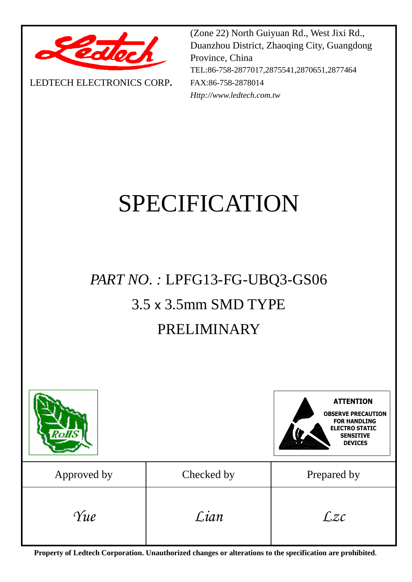

LEDTECH ELECTRONICS CORP**.**

(Zone 22) North Guiyuan Rd., West Jixi Rd., Duanzhou District, Zhaoqing City, Guangdong Province, China TEL:86-758-2877017,2875541,2870651,2877464 FAX:86-758-2878014 *Http://www.ledtech.com.tw*

# SPECIFICATION

# *PART NO. :* LPFG13-FG-UBQ3-GS06 3.5 x 3.5mm SMD TYPE PRELIMINARY



**Property of Ledtech Corporation. Unauthorized changes or alterations to the specification are prohibited***.*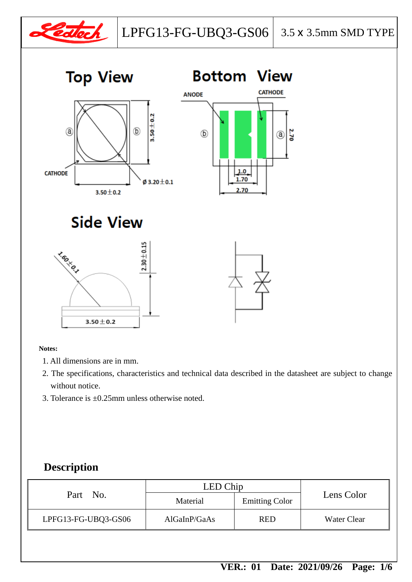







**Side View** 



**Notes:**

- 1. All dimensions are in mm.
- 2. The specifications, characteristics and technical data described in the datasheet are subject to change without notice.
- 3. Tolerance is ±0.25mm unless otherwise noted.

#### **Description**

| Part No.            | LED Chip     |                       |                    |
|---------------------|--------------|-----------------------|--------------------|
|                     | Material     | <b>Emitting Color</b> | Lens Color         |
| LPFG13-FG-UBQ3-GS06 | AlGaInP/GaAs | <b>RED</b>            | <b>Water Clear</b> |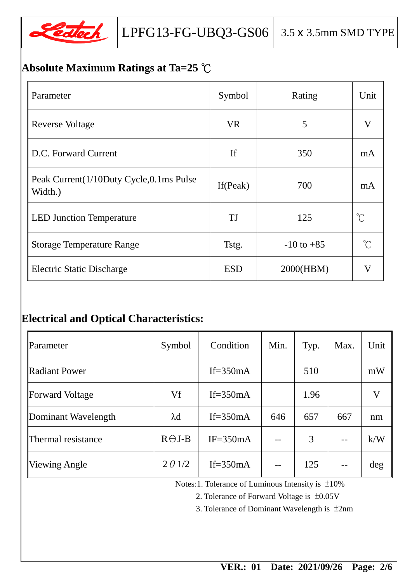

## **Absolute Maximum Ratings at Ta=25** ℃

| Parameter                                          | Symbol      | Rating         | Unit                 |
|----------------------------------------------------|-------------|----------------|----------------------|
| <b>Reverse Voltage</b>                             | <b>VR</b>   | 5              | V                    |
| D.C. Forward Current                               | <b>If</b>   | 350            | mA                   |
| Peak Current(1/10Duty Cycle,0.1ms Pulse<br>Width.) | If $(Peak)$ | 700            | mA                   |
| <b>LED Junction Temperature</b>                    | TJ          | 125            | $\mathrm{C}^{\circ}$ |
| <b>Storage Temperature Range</b>                   | Tstg.       | $-10$ to $+85$ | $\int_{0}^{\infty}$  |
| <b>Electric Static Discharge</b>                   | <b>ESD</b>  | 2000(HBM)      | $\bf V$              |

### **Electrical and Optical Characteristics:**

| Parameter              | Symbol         | Condition    | Min. | Typ. | Max. | Unit |
|------------------------|----------------|--------------|------|------|------|------|
| <b>Radiant Power</b>   |                | If= $350mA$  |      | 510  |      | mW   |
| <b>Forward Voltage</b> | Vf             | If= $350mA$  |      | 1.96 |      | V    |
| Dominant Wavelength    | $\lambda$ d    | If= $350mA$  | 646  | 657  | 667  | nm   |
| Thermal resistance     | $R \Theta J-B$ | $IF = 350mA$ |      | 3    |      | k/W  |
| <b>Viewing Angle</b>   | $2 \theta 1/2$ | If= $350mA$  |      | 125  |      | deg  |

Notes:1. Tolerance of Luminous Intensity is ±10%

2. Tolerance of Forward Voltage is ±0.05V

3. Tolerance of Dominant Wavelength is ±2nm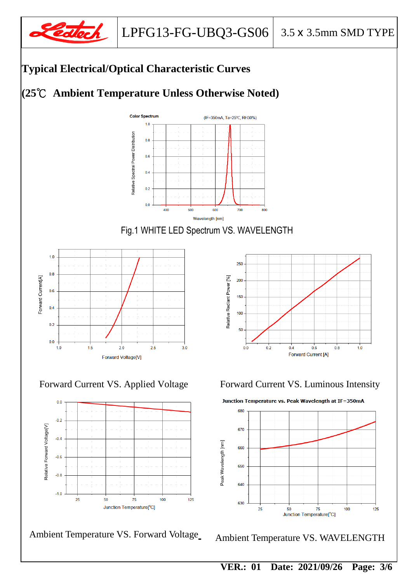

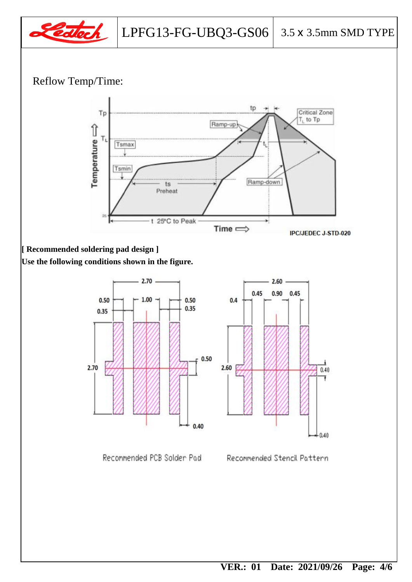

### Reflow Temp/Time:



### **[ Recommended soldering pad design ]**

**Use the following conditions shown in the figure.**



Recommended PCB Solder Pad Recommended Stencil Pattern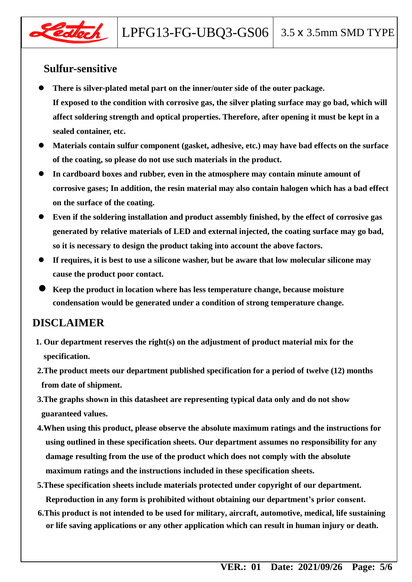

#### **Sulfur-sensitive**

- **There is silver-plated metal part on the inner/outer side of the outer package. If exposed to the condition with corrosive gas, the silver plating surface may go bad, which will affect soldering strength and optical properties. Therefore, after opening it must be kept in a sealed container, etc.**
- **Materials contain sulfur component (gasket, adhesive, etc.) may have bad effects on the surface of the coating, so please do not use such materials in the product.**
- **In cardboard boxes and rubber, even in the atmosphere may contain minute amount of corrosive gases; In addition, the resin material may also contain halogen which has a bad effect on the surface of the coating.**
- **Even if the soldering installation and product assembly finished, by the effect of corrosive gas generated by relative materials of LED and external injected, the coating surface may go bad, so it is necessary to design the product taking into account the above factors.**
- **If requires, it is best to use a silicone washer, but be aware that low molecular silicone may cause the product poor contact.**
- **Keep the product in location where has less temperature change, because moisture condensation would be generated under a condition of strong temperature change.**

#### **DISCLAIMER**

- **1. Our department reserves the right(s) on the adjustment of product material mix for the specification.**
- **2.The product meets our department published specification for a period of twelve (12) months from date of shipment.**
- **3.The graphs shown in this datasheet are representing typical data only and do not show guaranteed values.**
- **4.When using this product, please observe the absolute maximum ratings and the instructions for using outlined in these specification sheets. Our department assumes no responsibility for any damage resulting from the use of the product which does not comply with the absolute maximum ratings and the instructions included in these specification sheets.**
- **5.These specification sheets include materials protected under copyright of our department. Reproduction in any form is prohibited without obtaining our department's prior consent.**
- **6.This product is not intended to be used for military, aircraft, automotive, medical, life sustaining or life saving applications or any other application which can result in human injury or death.**